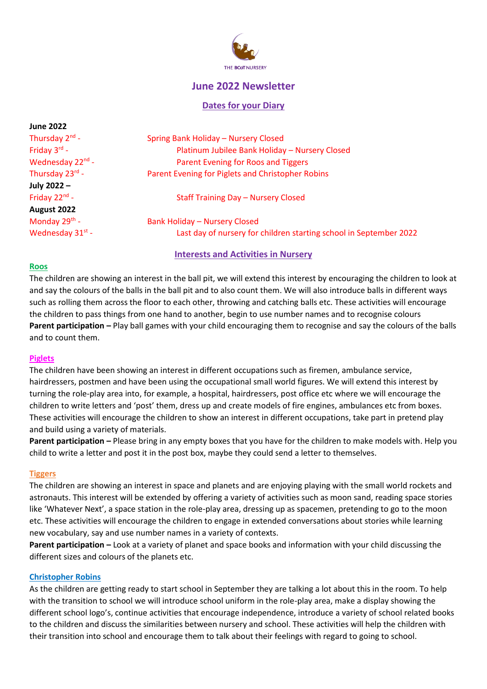

# **June 2022 Newsletter**

#### **Dates for your Diary**

| <b>June 2022</b>      |                                                                    |
|-----------------------|--------------------------------------------------------------------|
| Thursday $2^{nd}$ -   | <b>Spring Bank Holiday - Nursery Closed</b>                        |
| Friday $3^{rd}$ -     | Platinum Jubilee Bank Holiday - Nursery Closed                     |
| Wednesday 22nd -      | Parent Evening for Roos and Tiggers                                |
| Thursday 23rd -       | Parent Evening for Piglets and Christopher Robins                  |
| July 2022 -           |                                                                    |
| Friday $22^{nd}$ -    | <b>Staff Training Day - Nursery Closed</b>                         |
| August 2022           |                                                                    |
| Monday $29^{th}$ -    | <b>Bank Holiday - Nursery Closed</b>                               |
| Wednesday $31^{st}$ - | Last day of nursery for children starting school in September 2022 |
|                       |                                                                    |

## **Interests and Activities in Nursery**

#### **Roos**

The children are showing an interest in the ball pit, we will extend this interest by encouraging the children to look at and say the colours of the balls in the ball pit and to also count them. We will also introduce balls in different ways such as rolling them across the floor to each other, throwing and catching balls etc. These activities will encourage the children to pass things from one hand to another, begin to use number names and to recognise colours **Parent participation –** Play ball games with your child encouraging them to recognise and say the colours of the balls and to count them.

#### **Piglets**

The children have been showing an interest in different occupations such as firemen, ambulance service, hairdressers, postmen and have been using the occupational small world figures. We will extend this interest by turning the role-play area into, for example, a hospital, hairdressers, post office etc where we will encourage the children to write letters and 'post' them, dress up and create models of fire engines, ambulances etc from boxes. These activities will encourage the children to show an interest in different occupations, take part in pretend play and build using a variety of materials.

**Parent participation –** Please bring in any empty boxes that you have for the children to make models with. Help you child to write a letter and post it in the post box, maybe they could send a letter to themselves.

#### **Tiggers**

The children are showing an interest in space and planets and are enjoying playing with the small world rockets and astronauts. This interest will be extended by offering a variety of activities such as moon sand, reading space stories like 'Whatever Next', a space station in the role-play area, dressing up as spacemen, pretending to go to the moon etc. These activities will encourage the children to engage in extended conversations about stories while learning new vocabulary, say and use number names in a variety of contexts.

**Parent participation –** Look at a variety of planet and space books and information with your child discussing the different sizes and colours of the planets etc.

#### **Christopher Robins**

As the children are getting ready to start school in September they are talking a lot about this in the room. To help with the transition to school we will introduce school uniform in the role-play area, make a display showing the different school logo's, continue activities that encourage independence, introduce a variety of school related books to the children and discuss the similarities between nursery and school. These activities will help the children with their transition into school and encourage them to talk about their feelings with regard to going to school.